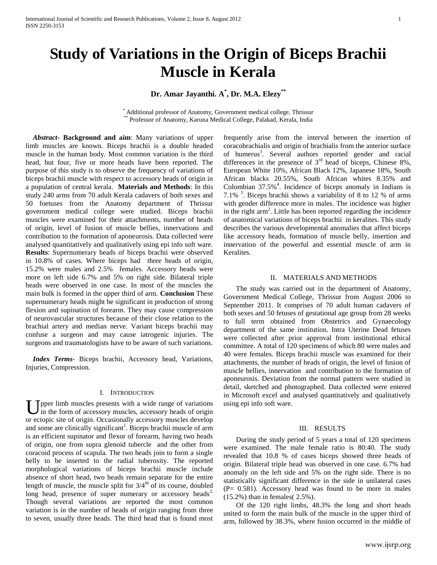# **Study of Variations in the Origin of Biceps Brachii Muscle in Kerala**

**Dr. Amar Jayanthi. A\* , Dr. M.A. Elezy\*\***

\* Additional professor of Anatomy, Government medical college, Thrissur Professor of Anatomy, Karuna Medical College, Palakad, Kerala, India

 *Abstract***- Background and aim**: Many variations of upper limb muscles are known. Biceps brachii is a double headed muscle in the human body. Most common variation is the third head, but four, five or more heads have been reported. The purpose of this study is to observe the frequency of variations of biceps brachii muscle with respect to accessory heads of origin in a population of central kerala. **Materials and Methods**: In this study 240 arms from 70 adult Kerala cadavers of both sexes and 50 foetuses from the Anatomy department of Thrissur government medical college were studied. Biceps brachii muscles were examined for their attachments, number of heads of origin, level of fusion of muscle bellies, innervations and contribution to the formation of aponeurosis. Data collected were analysed quantitatively and qualitatively using epi info soft ware. **Results**: Supernumerary heads of biceps brachii were observed in 10.8% of cases. Where biceps had three heads of origin, 15.2% were males and 2.5% females. Accessory heads were more on left side 6.7% and 5% on right side. Bilateral triple heads were observed in one case. In most of the muscles the main bulk is formed in the upper third of arm. **Conclusion** These supernumerary heads might be significant in production of strong flexion and supination of forearm. They may cause compression of neurovascular structures because of their close relation to the brachial artery and median nerve. Variant biceps brachii may confuse a surgeon and may cause iatrogenic injuries. The surgeons and traumatologists have to be aware of such variations.

 *Index Terms*- Biceps brachii, Accessory head, Variations, Injuries, Compression.

# I. INTRODUCTION

U pper limb muscles presents with a wide range of variations in the form of accessory muscles, accessory heads of origin in the form of accessory muscles, accessory heads of origin or ectopic site of origin. Occasionally accessory muscles develop and some are clinically significant<sup>1</sup>. Biceps brachii muscle of arm is an efficient supinator and flexor of forearm, having two heads of origin, one from supra glenoid tubercle and the other from coracoid process of scapula. The two heads join to form a single belly to be inserted to the radial tuberosity. The reported morphological variations of biceps brachii muscle include absence of short head, two heads remain separate for the entire length of muscle, the muscle split for  $3/4<sup>th</sup>$  of its course, doubled long head, presence of super numerary or accessory heads<sup>2.</sup> Though several variations are reported the most common variation is in the number of heads of origin ranging from three to seven, usually three heads. The third head that is found most

frequently arise from the interval between the insertion of coracobrachialis and origin of brachialis from the anterior surface of humerus<sup>3</sup>. Several authors reported gender and racial differences in the presence of  $3<sup>rd</sup>$  head of biceps, Chinese 8%, European White 10%, African Black 12%, Japanese 18%, South African blacks 20.55%, South African whites 8.35% and Colombian  $37.5\%$ <sup>4</sup>. Incidence of biceps anomaly in Indians is 7.1% <sup>5</sup> . Biceps brachii shows a variability of 8 to 12 % of arms with gender difference more in males. The incidence was higher in the right arm<sup>2</sup>. Little has been reported regarding the incidence of anatomical variations of biceps brachii in keralites. This study describes the various developmental anomalies that affect biceps like accessory heads, formation of muscle belly, insertion and innervation of the powerful and essential muscle of arm in Keralites.

# II. MATERIALS AND METHODS

The study was carried out in the department of Anatomy, Government Medical College, Thrissur from August 2006 to September 2011. It comprises of 70 adult human cadavers of both sexes and 50 fetuses of gestational age group from 28 weeks to full term obtained from Obstetrics and Gynaecology department of the same institution. Intra Uterine Dead fetuses were collected after prior approval from institutional ethical committee. A total of 120 specimens of which 80 were males and 40 were females. Biceps brachii muscle was examined for their attachments, the number of heads of origin, the level of fusion of muscle bellies, innervation and contribution to the formation of aponeurosis. Deviation from the normal pattern were studied in detail, sketched and photographed. Data collected were entered in Microsoft excel and analysed quantitatively and qualitatively using epi info soft ware.

# III. RESULTS

During the study period of 5 years a total of 120 specimens were examined. The male female ratio is 80:40. The study revealed that 10.8 % of cases biceps showed three heads of origin. Bilateral triple head was observed in one case. 6.7% had anomaly on the left side and 5% on the right side. There is no statistically significant difference in the side in unilateral cases  $(P= 0.581)$ . Accessory head was found to be more in males (15.2%) than in females( 2.5%).

Of the 120 right limbs, 48.3% the long and short heads united to form the main bulk of the muscle in the upper third of arm, followed by 38.3%, where fusion occurred in the middle of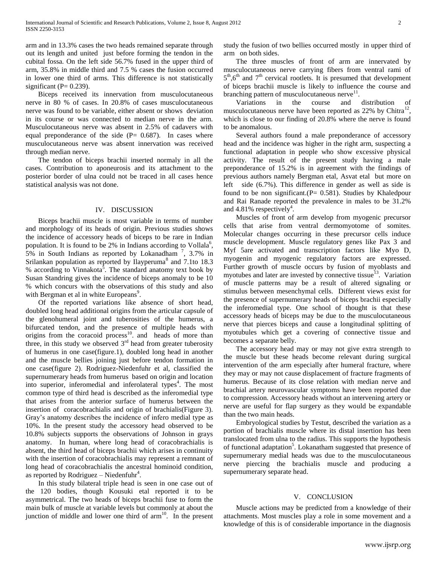arm and in 13.3% cases the two heads remained separate through out its length and united just before forming the tendon in the cubital fossa. On the left side 56.7% fused in the upper third of arm, 35.8% in middle third and 7.5 % cases the fusion occurred in lower one third of arms. This difference is not statistically significant ( $P= 0.239$ ).

Biceps received its innervation from musculocutaneous nerve in 80 % of cases. In 20.8% of cases musculocutaneous nerve was found to be variable, either absent or shows deviation in its course or was connected to median nerve in the arm. Musculocutaneous nerve was absent in 2.5% of cadavers with equal preponderance of the side  $(P= 0.687)$ . In cases where musculocutaneous nerve was absent innervation was received through median nerve.

The tendon of biceps brachii inserted normaly in all the cases. Contribution to aponeurosis and its attachment to the posterior border of ulna could not be traced in all cases hence statistical analysis was not done.

## IV. DISCUSSION

Biceps brachii muscle is most variable in terms of number and morphology of its heads of origin. Previous studies shows the incidence of accessory heads of biceps to be rare in Indian population. It is found to be  $2\%$  in Indians according to Vollala<sup>6</sup>,  $5\%$  in South Indians as reported by Lokanadham<sup>7</sup>, 3.7% in Srilankan population as reported by Ilayperuma<sup>8</sup> and 7.1to 18.3 % according to Vinnakota<sup>5</sup>. The standard anatomy text book by Susan Standring gives the incidence of biceps anomaly to be 10 % which concurs with the observations of this study and also with Bergman et al in white Europeans<sup>9</sup>.

Of the reported variations like absence of short head, doubled long head additional origins from the articular capsule of the glenohumeral joint and tuberosities of the humerus, a bifurcated tendon, and the presence of multiple heads with origins from the coracoid process<sup>10</sup>. and heads of more than three, in this study we observed  $3<sup>rd</sup>$  head from greater tuberosity of humerus in one case(figure.1), doubled long head in another and the muscle bellies joining just before tendon formation in one case(figure 2). Rodriguez-Niedenfuhr et al, classified the supernumerary heads from humerus based on origin and location into superior, inferomedial and inferolateral types<sup>4</sup>. The most common type of third head is described as the inferomedial type that arises from the anterior surface of humerus between the insertion of coracobrachialis and origin of brachialis(Figure 3). Gray's anatomy describes the incidence of infero medial type as 10%. In the present study the accessory head observed to be 10.8% subjects supports the observations of Johnson in grays anatomy. In human, where long head of coracobrachialis is absent, the third head of biceps brachii which arises in continuity with the insertion of coracobrachialis may represent a remnant of long head of coracobrachialis the ancestral hominoid condition, as reported by Rodriguez – Niedenfuhr<sup>4</sup>.

In this study bilateral triple head is seen in one case out of the 120 bodies, though Kousuki etal reported it to be asymmetrical. The two heads of biceps brachii fuse to form the main bulk of muscle at variable levels but commonly at about the junction of middle and lower one third of  $arm<sup>10</sup>$ . In the present study the fusion of two bellies occurred mostly in upper third of arm on both sides.

The three muscles of front of arm are innervated by musculocutaneous nerve carrying fibers from ventral rami of  $5<sup>th</sup>,6<sup>th</sup>$  and  $7<sup>th</sup>$  cervical rootlets. It is presumed that development of biceps brachii muscle is likely to influence the course and branching pattern of musculocutaneous nerve $11$ .

Variations in the course and distribution of musculocutaneous nerve have been reported as  $22\%$  by Chitra<sup>12</sup>, which is close to our finding of 20.8% where the nerve is found to be anomalous.

Several authors found a male preponderance of accessory head and the incidence was higher in the right arm, suspecting a functional adaptation in people who show excessive physical activity. The result of the present study having a male preponderance of 15.2% is in agreement with the findings of previous authors namely Bergman etal, Asvat etal but more on left side (6.7%). This difference in gender as well as side is found to be non significant.  $(P= 0.581)$ . Studies by Khaledpour and Rai Ranade reported the prevalence in males to be 31.2% and  $4.81\%$  respectively<sup>4</sup>.

Muscles of front of arm develop from myogenic precursor cells that arise from ventral dermomyotome of somites. Molecular changes occurring in these precursor cells induce muscle development. Muscle regulatory genes like Pax 3 and Myf 5are activated and transcription factors like Myo D, myogenin and myogenic regulatory factors are expressed. Further growth of muscle occurs by fusion of myoblasts and myotubes and later are invested by connective tissue<sup>13</sup>. Variation of muscle patterns may be a result of altered signaling or stimulus between mesenchymal cells. Different views exist for the presence of supernumerary heads of biceps brachii especially the inferomedial type. One school of thought is that these accessory heads of biceps may be due to the musculocutaneous nerve that pierces biceps and cause a longitudinal splitting of myotubules which get a covering of connective tissue and becomes a separate belly.

The accessory head may or may not give extra strength to the muscle but these heads become relevant during surgical intervention of the arm especially after humeral fracture, where they may or may not cause displacement of fracture fragments of humerus. Because of its close relation with median nerve and brachial artery neurovascular symptoms have been reported due to compression. Accessory heads without an intervening artery or nerve are useful for flap surgery as they would be expandable than the two main heads.

Embryological studies by Testut, described the variation as a portion of brachialis muscle where its distal insertion has been translocated from ulna to the radius. This supports the hypothesis of functional adaptation<sup>5</sup>. Lokanatham suggested that presence of supernumerary medial heads was due to the musculocutaneous nerve piercing the brachialis muscle and producing a supernumerary separate head.

#### V. CONCLUSION

Muscle actions may be predicted from a knowledge of their attachments. Most muscles play a role in some movement and a knowledge of this is of considerable importance in the diagnosis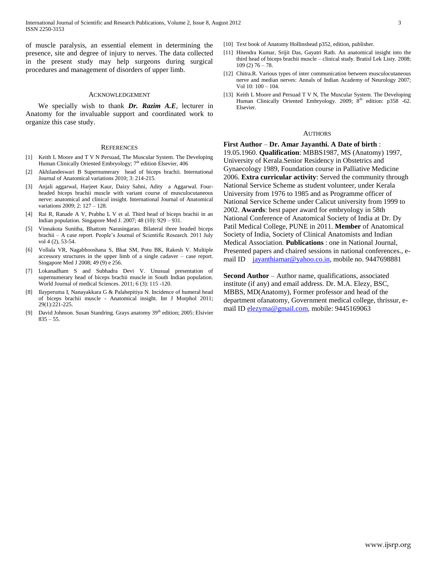of muscle paralysis, an essential element in determining the presence, site and degree of injury to nerves. The data collected in the present study may help surgeons during surgical procedures and management of disorders of upper limb.

### ACKNOWLEDGEMENT

We specially wish to thank *Dr. Razim A.E,* lecturer in Anatomy for the invaluable support and coordinated work to organize this case study.

#### **REFERENCES**

- [1] Keith L Moore and T V N Persuad, The Muscular System. The Developing Human Clinically Oriented Embryology; 7<sup>th</sup> edition Elsevier, 406
- [2] Akhilandeswari B Supernumerary head of biceps brachii. International Journal of Anatomical variations 2010; 3: 214-215.
- [3] Anjali aggarwal, Harjeet Kaur, Daizy Sahni, Adity a Aggarwal. Fourheaded biceps brachii muscle with variant course of musculocutaneous nerve: anatomical and clinical insight. International Journal of Anatomical variations 2009; 2: 127 – 128.
- [4] Rai R, Ranade A V, Prabhu L V et al. Third head of biceps brachii in an Indian population. Singapore Med J. 2007; 48 (10): 929 – 931.
- [5] Vinnakota Sunitha, Bhattom Narasingarao. Bilateral three headed biceps brachii – A case report. People's Journal of Scientific Research. 2011 July vol 4 (2), 53-54.
- [6] Vollala VR, Nagabhooshana S, Bhat SM, Potu BK, Rakesh V. Multiple accessory structures in the upper limb of a single cadaver – case report. Singapore Med J 2008; 49 (9) e 256.
- [7] Lokanadham S and Subhadra Devi V. Unusual presentation of supernumerary head of biceps brachii muscle in South Indian population. World Journal of medical Sciences. 2011; 6 (3): 115 -120.
- [8] Ilayperuma I, Nanayakkara G & Palahepitiya N. Incidence of humeral head of biceps brachii muscle - Anatomical insight. Int J Morphol 2011; 29(1):221-225.
- [9] David Johnson. Susan Standring. Grays anatomy 39<sup>th</sup> edition; 2005: Elsivier  $835 - 55$ .
- [10] Text book of Anatomy Hollinshead p352, edition, publisher.
- [11] Hitendra Kumar, Srijit Das, Gayatri Rath. An anatomical insight into the third head of biceps brachii muscle – clinical study. Bratisl Lek Listy. 2008; 109 (2) 76 – 78.
- [12] Chitra.R. Various types of inter communication between musculocutaneous nerve and median nerves: Annals of Indian Academy of Neurology 2007; Vol 10: 100 – 104.
- [13] Keith L Moore and Persuad T V N, The Muscular System. The Developing Human Clinically Oriented Embryology. 2009; 8<sup>th</sup> edition: p358 -62. Elsevier.

### AUTHORS

**First Author** – **Dr. Amar Jayanthi. A Date of birth** : 19.05.1960. **Qualification**: MBBS1987, MS (Anatomy) 1997, University of Kerala.Senior Residency in Obstetrics and Gynaecology 1989, Foundation course in Palliative Medicine 2006. **Extra curricular activity**: Served the community through National Service Scheme as student volunteer, under Kerala University from 1976 to 1985 and as Programme officer of National Service Scheme under Calicut university from 1999 to 2002. **Awards**: best paper award for embryology in 58th National Conference of Anatomical Society of India at Dr. Dy Patil Medical College, PUNE in 2011. **Member** of Anatomical Society of India, Society of Clinical Anatomists and Indian Medical Association. **Publications** : one in National Journal, Presented papers and chaired sessions in national conferences., email ID [jayanthiamar@yahoo.co.in,](mailto:jayanthiamar@yahoo.co.in) mobile no. 9447698881

**Second Author** – Author name, qualifications, associated institute (if any) and email address. Dr. M.A. Elezy, BSC, MBBS, MD(Anatomy), Former professor and head of the department ofanatomy, Government medical college, thrissur, email ID [elezyma@gmail.com,](mailto:elezyma@gmail.com) mobile: 9445169063